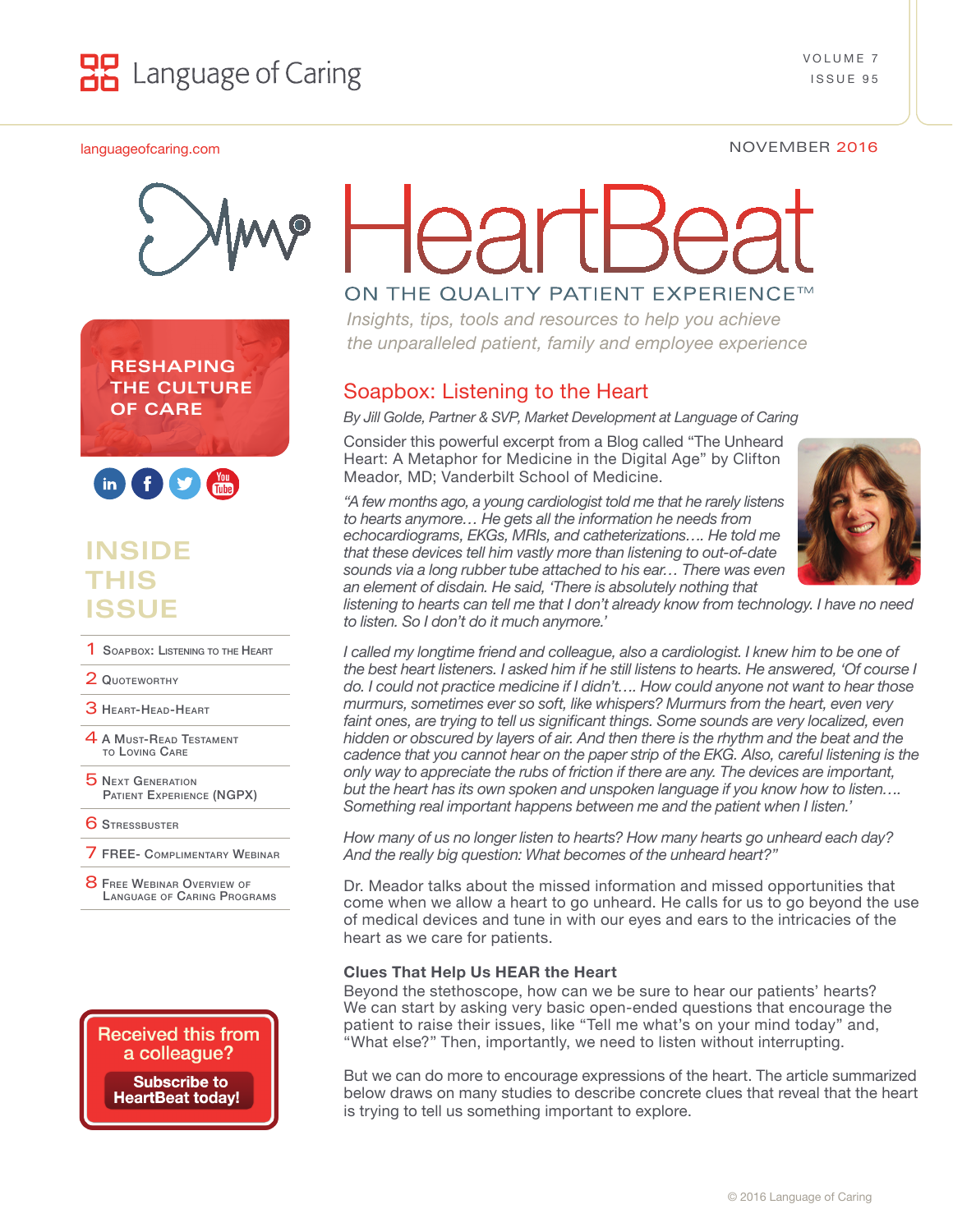



**RESHAPING THE CULTURE OF CARE**



# **INSIDE THIS ISSUE**

- **1 SOAPBOX: LISTENING TO THE HEART**
- 2 QUOTEWORTHY
- **3 HEART-HEAD-HEART**
- 4 A Must-Read Testament [to Loving Care](#page-2-0)
- **5 NEXT GENERATION** Patient [Experience \(NGPX\)](#page-2-0)
- **6 STRESSBUSTER**
- 7 [FREE- Complimentary](#page-3-0) Webinar
- **8 FREE WEBINAR OVERVIEW OF** LANGUAGE OF CARING PROGRAMS



# ON THE QUALITY PATIENT EXPERIENCE™

*Insights, tips, tools and resources to help you achieve the unparalleled patient, family and employee experience*

# Soapbox: Listening to the Heart

*By Jill Golde, Partner & SVP, Market Development at Language of Caring*

Consider this powerful excerpt from a Blog called "The Unheard Heart: A Metaphor for Medicine in the Digital Age" by Clifton Meador, MD; Vanderbilt School of Medicine.

*"A few months ago, a young cardiologist told me that he rarely listens to hearts anymore… He gets all the information he needs from echocardiograms, EKGs, MRIs, and catheterizations…. He told me that these devices tell him vastly more than listening to out-of-date sounds via a long rubber tube attached to his ear… There was even an element of disdain. He said, 'There is absolutely nothing that* 



*listening to hearts can tell me that I don't already know from technology. I have no need to listen. So I don't do it much anymore.'*

*I called my longtime friend and colleague, also a cardiologist. I knew him to be one of the best heart listeners. I asked him if he still listens to hearts. He answered, 'Of course I do. I could not practice medicine if I didn't…. How could anyone not want to hear those murmurs, sometimes ever so soft, like whispers? Murmurs from the heart, even very*  faint ones, are trying to tell us significant things. Some sounds are very localized, even *hidden or obscured by layers of air. And then there is the rhythm and the beat and the cadence that you cannot hear on the paper strip of the EKG. Also, careful listening is the only way to appreciate the rubs of friction if there are any. The devices are important, but the heart has its own spoken and unspoken language if you know how to listen…. Something real important happens between me and the patient when I listen.'*

*How many of us no longer listen to hearts? How many hearts go unheard each day? And the really big question: What becomes of the unheard heart?"*

Dr. Meador talks about the missed information and missed opportunities that come when we allow a heart to go unheard. He calls for us to go beyond the use of medical devices and tune in with our eyes and ears to the intricacies of the heart as we care for patients.

#### **Clues That Help Us HEAR the Heart**

Beyond the stethoscope, how can we be sure to hear our patients' hearts? We can start by asking very basic open-ended questions that encourage the patient to raise their issues, like "Tell me what's on your mind today" and, "What else?" Then, importantly, we need to listen without interrupting.

But we can do more to encourage expressions of the heart. The article summarized below draws on many studies to describe concrete clues that reveal that the heart is trying to tell us something important to explore.

#### [languageofcaring.com](http://languageofcaring.com) NOVEMBER 2016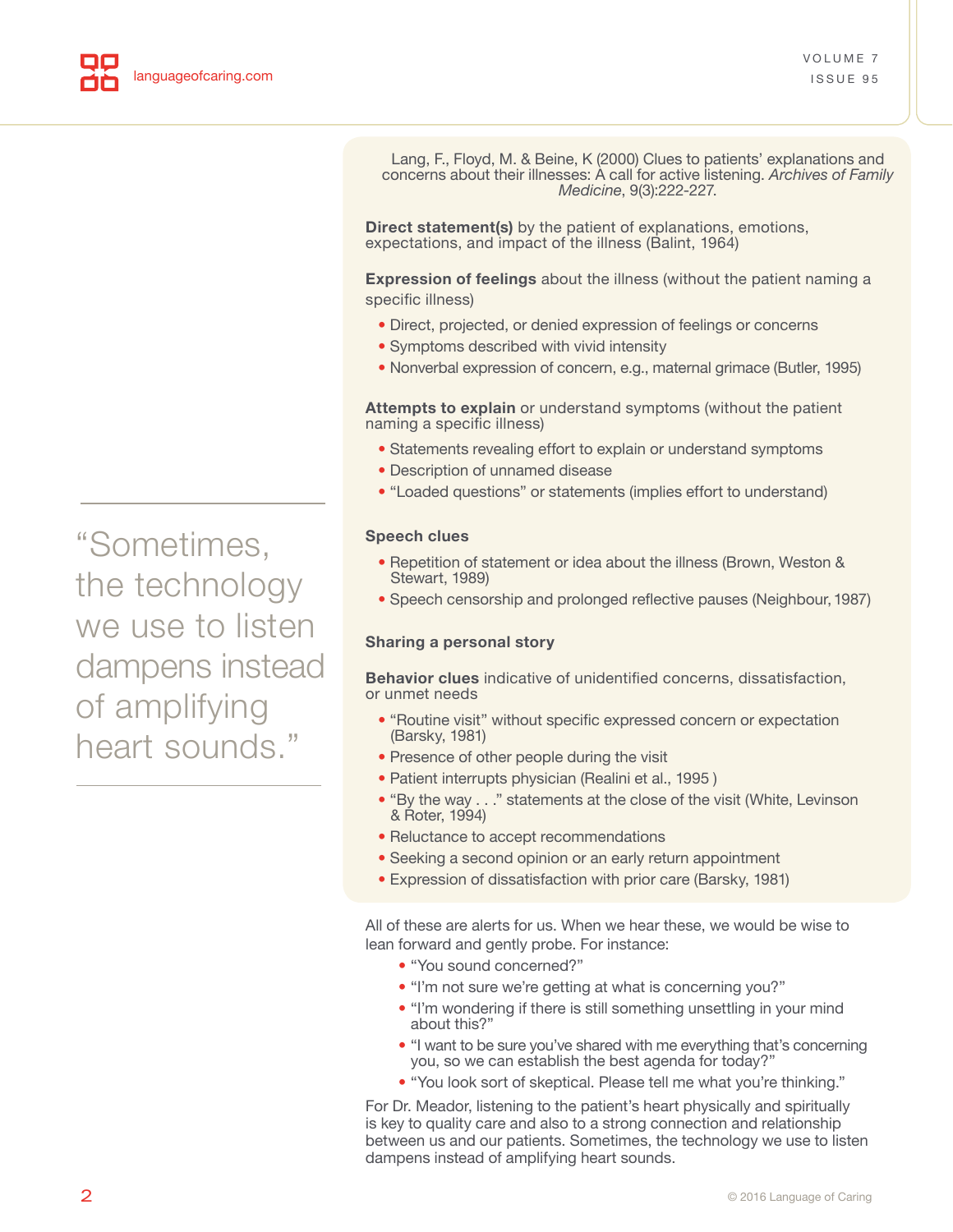Lang, F., Floyd, M. & Beine, K (2000) Clues to patients' explanations and concerns about their illnesses: A call for active listening. *Archives of Family Medicine*, 9(3):222-227.

**Direct statement(s)** by the patient of explanations, emotions, expectations, and impact of the illness (Balint, 1964)

**Expression of feelings** about the illness (without the patient naming a specific illness)

- **•** Direct, projected, or denied expression of feelings or concerns
- **•** Symptoms described with vivid intensity
- **•** Nonverbal expression of concern, e.g., maternal grimace (Butler, 1995)

**Attempts to explain** or understand symptoms (without the patient naming a specific illness)

- **•** Statements revealing effort to explain or understand symptoms
- **•** Description of unnamed disease
- **•** "Loaded questions" or statements (implies effort to understand)

#### **Speech clues**

- **•** Repetition of statement or idea about the illness (Brown, Weston & Stewart, 1989)
- **•** Speech censorship and prolonged reflective pauses (Neighbour, 1987)

#### **Sharing a personal story**

**Behavior clues** indicative of unidentified concerns, dissatisfaction, or unmet needs

- **•** "Routine visit" without specific expressed concern or expectation (Barsky, 1981)
- **•** Presence of other people during the visit
- **•** Patient interrupts physician (Realini et al., 1995 )
- **•** "By the way . . ." statements at the close of the visit (White, Levinson & Roter, 1994)
- **•** Reluctance to accept recommendations
- **•** Seeking a second opinion or an early return appointment
- **•** Expression of dissatisfaction with prior care (Barsky, 1981)

All of these are alerts for us. When we hear these, we would be wise to lean forward and gently probe. For instance:

- "You sound concerned?"
- "I'm not sure we're getting at what is concerning you?"
- "I'm wondering if there is still something unsettling in your mind about this?"
- "I want to be sure you've shared with me everything that's concerning you, so we can establish the best agenda for today?"
- "You look sort of skeptical. Please tell me what you're thinking."

For Dr. Meador, listening to the patient's heart physically and spiritually is key to quality care and also to a strong connection and relationship between us and our patients. Sometimes, the technology we use to listen dampens instead of amplifying heart sounds.

"Sometimes, the technology we use to listen dampens instead of amplifying heart sounds."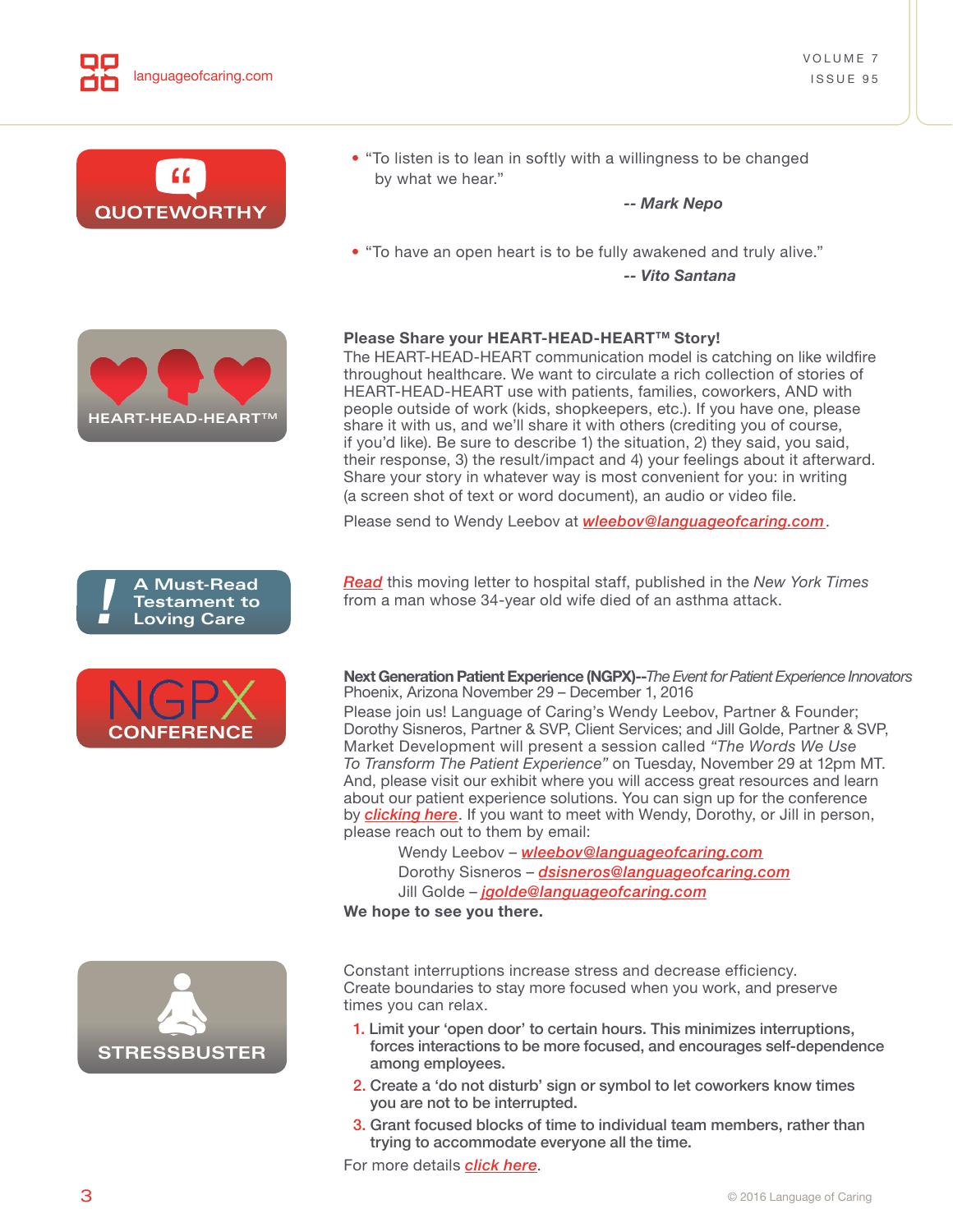<span id="page-2-0"></span>

3. Grant focused blocks of time to individual team members, rather than trying to accommodate everyone all the time.

For more details *[click here](http://www.mindful.org/the-fight-for-focus/)*.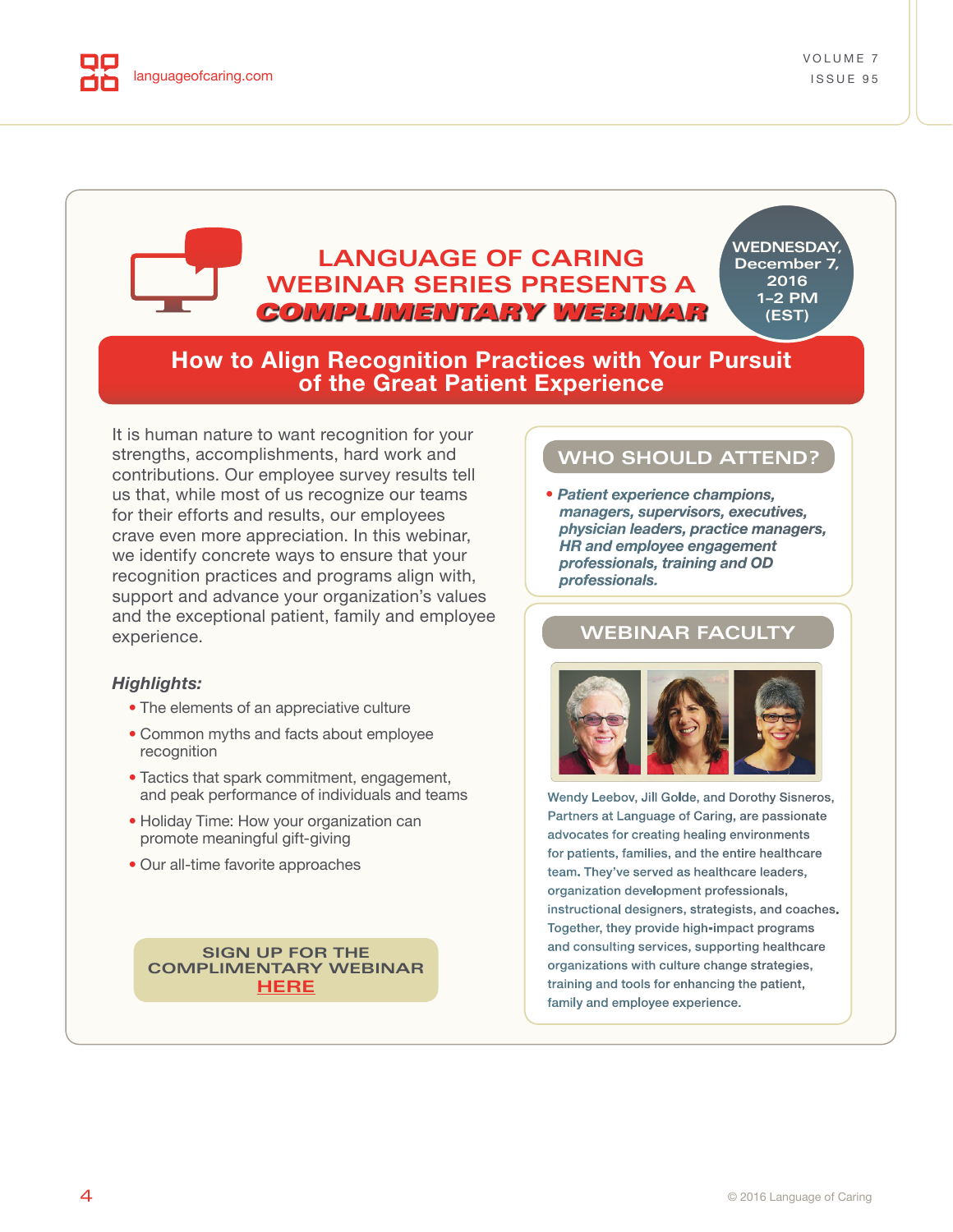<span id="page-3-0"></span>

# **LANGUAGE OF CARING WEBINAR SERIES PRESENTS A** COMPLIMENTARY WEBINAR

**WEDNESDAY, December 7, 2016 1–2 PM (EST)**

# **How to Align Recognition Practices with Your Pursuit of the Great Patient Experience**

It is human nature to want recognition for your strengths, accomplishments, hard work and contributions. Our employee survey results tell us that, while most of us recognize our teams for their efforts and results, our employees crave even more appreciation. In this webinar, we identify concrete ways to ensure that your recognition practices and programs align with, support and advance your organization's values and the exceptional patient, family and employee experience.

#### *Highlights:*

- The elements of an appreciative culture
- Common myths and facts about employee recognition
- Tactics that spark commitment, engagement, and peak performance of individuals and teams
- Holiday Time: How your organization can promote meaningful gift-giving
- Our all-time favorite approaches

**SIGN UP FOR THE [COMPLIMENTARY WEBINAR](https://attendee.gotowebinar.com/register/6692486862686848260) HERE**

### **WHO SHOULD ATTEND?**

• *Patient experience champions, managers, supervisors, executives, physician leaders, practice managers, HR and employee engagement professionals, training and OD professionals.*

## **WEBINAR FACULTY**



Wendy Leebov, Jill Golde, and Dorothy Sisneros, Partners at Language of Caring, are passionate advocates for creating healing environments for patients, families, and the entire healthcare team. They've served as healthcare leaders, organization development professionals, instructional designers, strategists, and coaches. Together, they provide high-impact programs and consulting services, supporting healthcare organizations with culture change strategies, training and tools for enhancing the patient, family and employee experience.